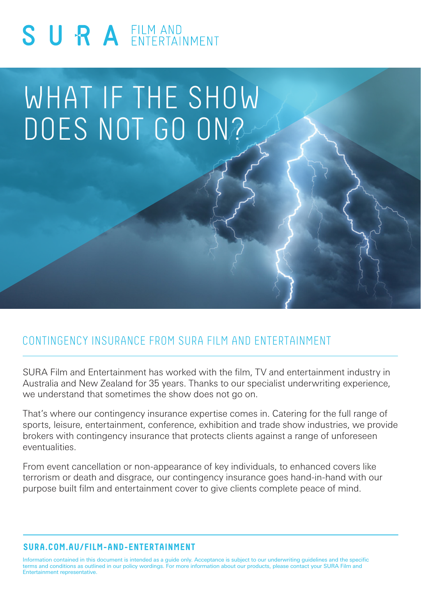# SURA<sup>FILM AND</sup>

## WHAT IF THE SHOW DOES NOT GO ON?

### CONTINGENCY INSURANCE FROM SURA FILM AND ENTERTAINMENT

SURA Film and Entertainment has worked with the film, TV and entertainment industry in Australia and New Zealand for 35 years. Thanks to our specialist underwriting experience, we understand that sometimes the show does not go on.

That's where our contingency insurance expertise comes in. Catering for the full range of sports, leisure, entertainment, conference, exhibition and trade show industries, we provide brokers with contingency insurance that protects clients against a range of unforeseen eventualities.

From event cancellation or non-appearance of key individuals, to enhanced covers like terrorism or death and disgrace, our contingency insurance goes hand-in-hand with our purpose built film and entertainment cover to give clients complete peace of mind.

#### **SURA.COM.AU/FILM-AND-ENTERTAINMENT**

Information contained in this document is intended as a guide only. Acceptance is subject to our underwriting guidelines and the specific terms and conditions as outlined in our policy wordings. For more information about our products, please contact your SURA Film and Entertainment representative.